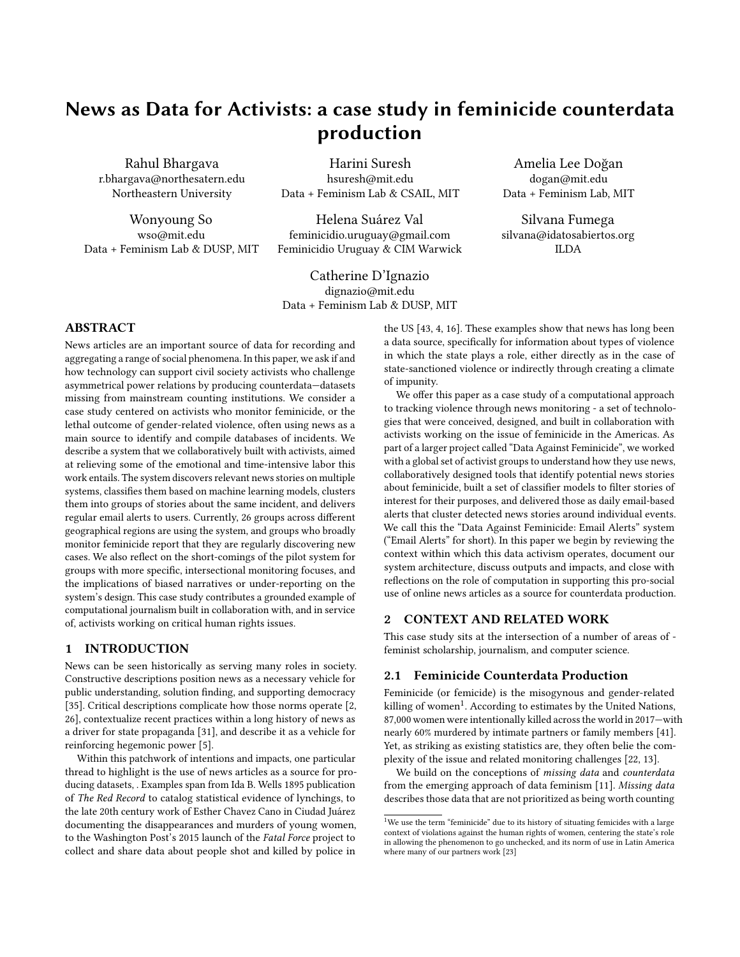# News as Data for Activists: a case study in feminicide counterdata production

[Rahul Bhargava](https://orcid.org/0000-0003-3904-4302) r.bhargava@northesatern.edu Northeastern University

[Wonyoung So](https://orcid.org/0000-0002-4867-3429) wso@mit.edu Data + Feminism Lab & DUSP, MIT

[Harini Suresh](https://orcid.org/0000-0002-9769-4947) hsuresh@mit.edu Data + Feminism Lab & CSAIL, MIT

[Helena Suárez Val](https://orcid.org/0000-0002-8748-0734) feminicidio.uruguay@gmail.com Feminicidio Uruguay & CIM Warwick

[Catherine D'Ignazio](https://orcid.org/0000-0002-8673-1941) dignazio@mit.edu Data + Feminism Lab & DUSP, MIT

Amelia Lee Doğan dogan@mit.edu Data + Feminism Lab, MIT

Silvana Fumega silvana@idatosabiertos.org ILDA

# ABSTRACT

News articles are an important source of data for recording and aggregating a range of social phenomena. In this paper, we ask if and how technology can support civil society activists who challenge asymmetrical power relations by producing counterdata—datasets missing from mainstream counting institutions. We consider a case study centered on activists who monitor feminicide, or the lethal outcome of gender-related violence, often using news as a main source to identify and compile databases of incidents. We describe a system that we collaboratively built with activists, aimed at relieving some of the emotional and time-intensive labor this work entails. The system discovers relevant news stories on multiple systems, classifies them based on machine learning models, clusters them into groups of stories about the same incident, and delivers regular email alerts to users. Currently, 26 groups across different geographical regions are using the system, and groups who broadly monitor feminicide report that they are regularly discovering new cases. We also reflect on the short-comings of the pilot system for groups with more specific, intersectional monitoring focuses, and the implications of biased narratives or under-reporting on the system's design. This case study contributes a grounded example of computational journalism built in collaboration with, and in service of, activists working on critical human rights issues.

## 1 INTRODUCTION

News can be seen historically as serving many roles in society. Constructive descriptions position news as a necessary vehicle for public understanding, solution finding, and supporting democracy [\[35\]](#page-4-0). Critical descriptions complicate how those norms operate [\[2,](#page-4-1) [26\]](#page-4-2), contextualize recent practices within a long history of news as a driver for state propaganda [\[31\]](#page-4-3), and describe it as a vehicle for reinforcing hegemonic power [\[5\]](#page-4-4).

Within this patchwork of intentions and impacts, one particular thread to highlight is the use of news articles as a source for producing datasets, . Examples span from Ida B. Wells 1895 publication of The Red Record to catalog statistical evidence of lynchings, to the late 20th century work of Esther Chavez Cano in Ciudad Juárez documenting the disappearances and murders of young women, to the Washington Post's 2015 launch of the Fatal Force project to collect and share data about people shot and killed by police in

the US [\[43,](#page-4-5) [4,](#page-4-6) [16\]](#page-4-7). These examples show that news has long been a data source, specifically for information about types of violence in which the state plays a role, either directly as in the case of state-sanctioned violence or indirectly through creating a climate of impunity.

We offer this paper as a case study of a computational approach to tracking violence through news monitoring - a set of technologies that were conceived, designed, and built in collaboration with activists working on the issue of feminicide in the Americas. As part of a larger project called ["Data Against Feminicide",](https://datoscontrafeminicidio.net/) we worked with a global set of activist groups to understand how they use news, collaboratively designed tools that identify potential news stories about feminicide, built a set of classifier models to filter stories of interest for their purposes, and delivered those as daily email-based alerts that cluster detected news stories around individual events. We call this the "Data Against Feminicide: Email Alerts" system ("Email Alerts" for short). In this paper we begin by reviewing the context within which this data activism operates, document our system architecture, discuss outputs and impacts, and close with reflections on the role of computation in supporting this pro-social use of online news articles as a source for counterdata production.

## 2 CONTEXT AND RELATED WORK

This case study sits at the intersection of a number of areas of feminist scholarship, journalism, and computer science.

#### 2.1 Feminicide Counterdata Production

Feminicide (or femicide) is the misogynous and gender-related killing of women<sup>[1](#page-0-0)</sup>. According to estimates by the United Nations, 87,000 women were intentionally killed across the world in 2017—with nearly 60% murdered by intimate partners or family members [\[41\]](#page-4-8). Yet, as striking as existing statistics are, they often belie the complexity of the issue and related monitoring challenges [\[22,](#page-4-9) [13\]](#page-4-10).

We build on the conceptions of missing data and counterdata from the emerging approach of data feminism [\[11\]](#page-4-11). Missing data describes those data that are not prioritized as being worth counting

<span id="page-0-0"></span> $^1\rm{We}$  use the term "feminicide" due to its history of situating femicides with a large context of violations against the human rights of women, centering the state's role in allowing the phenomenon to go unchecked, and its norm of use in Latin America where many of our partners work [\[23\]](#page-4-12)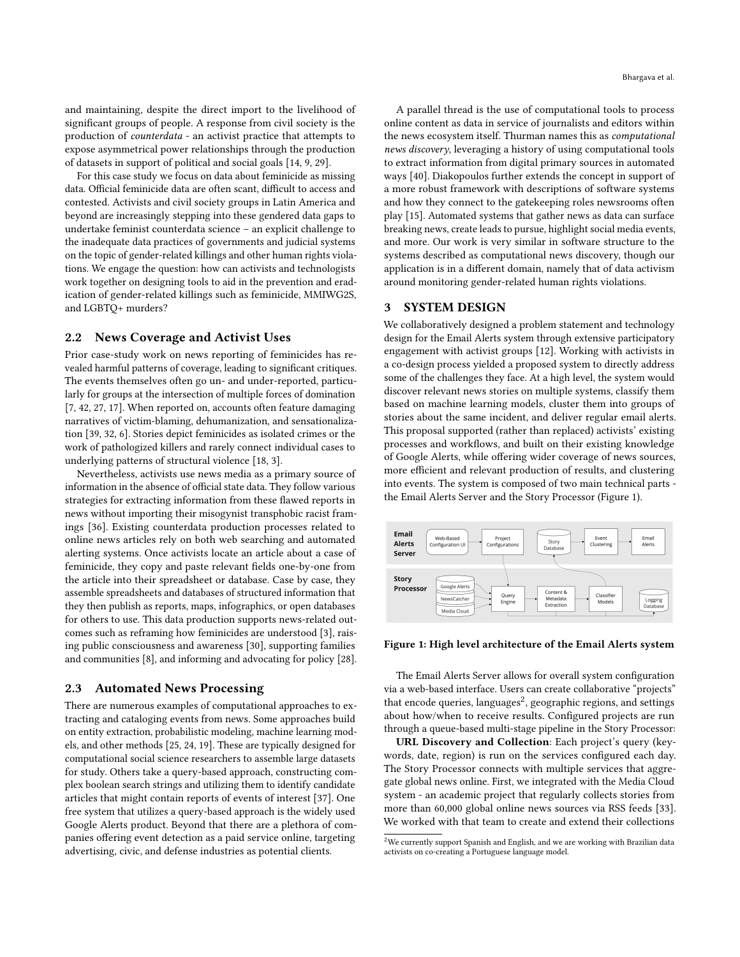and maintaining, despite the direct import to the livelihood of significant groups of people. A response from civil society is the production of counterdata - an activist practice that attempts to expose asymmetrical power relationships through the production of datasets in support of political and social goals [\[14,](#page-4-13) [9,](#page-4-14) [29\]](#page-4-15).

For this case study we focus on data about feminicide as missing data. Official feminicide data are often scant, difficult to access and contested. Activists and civil society groups in Latin America and beyond are increasingly stepping into these gendered data gaps to undertake feminist counterdata science – an explicit challenge to the inadequate data practices of governments and judicial systems on the topic of gender-related killings and other human rights violations. We engage the question: how can activists and technologists work together on designing tools to aid in the prevention and eradication of gender-related killings such as feminicide, MMIWG2S, and LGBTQ+ murders?

## 2.2 News Coverage and Activist Uses

Prior case-study work on news reporting of feminicides has revealed harmful patterns of coverage, leading to significant critiques. The events themselves often go un- and under-reported, particularly for groups at the intersection of multiple forces of domination [\[7,](#page-4-16) [42,](#page-4-17) [27,](#page-4-18) [17\]](#page-4-19). When reported on, accounts often feature damaging narratives of victim-blaming, dehumanization, and sensationalization [\[39,](#page-4-20) [32,](#page-4-21) [6\]](#page-4-22). Stories depict feminicides as isolated crimes or the work of pathologized killers and rarely connect individual cases to underlying patterns of structural violence [\[18,](#page-4-23) [3\]](#page-4-24).

Nevertheless, activists use news media as a primary source of information in the absence of official state data. They follow various strategies for extracting information from these flawed reports in news without importing their misogynist transphobic racist framings [\[36\]](#page-4-25). Existing counterdata production processes related to online news articles rely on both web searching and automated alerting systems. Once activists locate an article about a case of feminicide, they copy and paste relevant fields one-by-one from the article into their spreadsheet or database. Case by case, they assemble spreadsheets and databases of structured information that they then publish as reports, maps, infographics, or open databases for others to use. This data production supports news-related outcomes such as reframing how feminicides are understood [\[3\]](#page-4-24), raising public consciousness and awareness [\[30\]](#page-4-26), supporting families and communities [\[8\]](#page-4-27), and informing and advocating for policy [\[28\]](#page-4-28).

#### 2.3 Automated News Processing

There are numerous examples of computational approaches to extracting and cataloging events from news. Some approaches build on entity extraction, probabilistic modeling, machine learning models, and other methods [\[25,](#page-4-29) [24,](#page-4-30) [19\]](#page-4-31). These are typically designed for computational social science researchers to assemble large datasets for study. Others take a query-based approach, constructing complex boolean search strings and utilizing them to identify candidate articles that might contain reports of events of interest [\[37\]](#page-4-32). One free system that utilizes a query-based approach is the widely used Google Alerts product. Beyond that there are a plethora of companies offering event detection as a paid service online, targeting advertising, civic, and defense industries as potential clients.

A parallel thread is the use of computational tools to process online content as data in service of journalists and editors within the news ecosystem itself. Thurman names this as computational news discovery, leveraging a history of using computational tools to extract information from digital primary sources in automated ways [\[40\]](#page-4-33). Diakopoulos further extends the concept in support of a more robust framework with descriptions of software systems and how they connect to the gatekeeping roles newsrooms often play [\[15\]](#page-4-34). Automated systems that gather news as data can surface breaking news, create leads to pursue, highlight social media events, and more. Our work is very similar in software structure to the systems described as computational news discovery, though our application is in a different domain, namely that of data activism around monitoring gender-related human rights violations.

## 3 SYSTEM DESIGN

We collaboratively designed a problem statement and technology design for the Email Alerts system through extensive participatory engagement with activist groups [\[12\]](#page-4-35). Working with activists in a co-design process yielded a proposed system to directly address some of the challenges they face. At a high level, the system would discover relevant news stories on multiple systems, classify them based on machine learning models, cluster them into groups of stories about the same incident, and deliver regular email alerts. This proposal supported (rather than replaced) activists' existing processes and workflows, and built on their existing knowledge of Google Alerts, while offering wider coverage of news sources, more efficient and relevant production of results, and clustering into events. The system is composed of two main technical parts the Email Alerts Server and the Story Processor (Figure [1\)](#page-1-0).

<span id="page-1-0"></span>

Figure 1: High level architecture of the Email Alerts system

The Email Alerts Server allows for overall system configuration via a web-based interface. Users can create collaborative "projects" that encode queries, languages<sup>[2](#page-1-1)</sup>, geographic regions, and settings about how/when to receive results. Configured projects are run through a queue-based multi-stage pipeline in the Story Processor:

URL Discovery and Collection: Each project's query (keywords, date, region) is run on the services configured each day. The Story Processor connects with multiple services that aggregate global news online. First, we integrated with the Media Cloud system - an academic project that regularly collects stories from more than 60,000 global online news sources via RSS feeds [\[33\]](#page-4-36). We worked with that team to create and extend their collections

<span id="page-1-1"></span> $2$ We currently support Spanish and English, and we are working with Brazilian data activists on co-creating a Portuguese language model.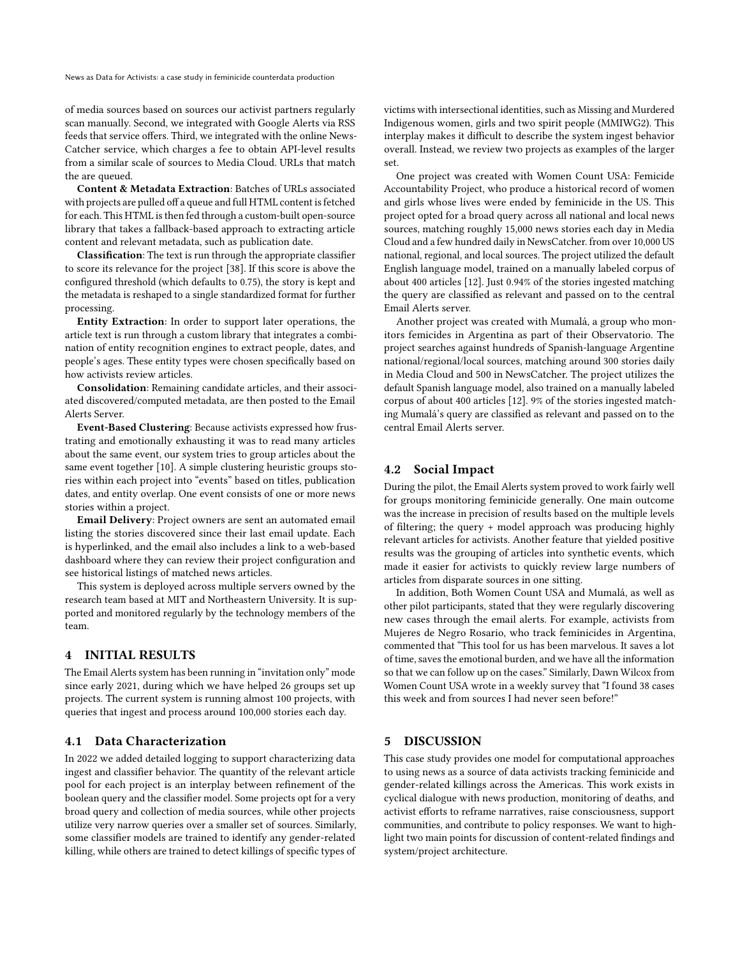of media sources based on sources our activist partners regularly scan manually. Second, we integrated with Google Alerts via RSS feeds that service offers. Third, we integrated with the online [News-](https://newscatcherapi.com/)[Catcher](https://newscatcherapi.com/) service, which charges a fee to obtain API-level results from a similar scale of sources to Media Cloud. URLs that match the are queued.

Content & Metadata Extraction: Batches of URLs associated with projects are pulled off a queue and full HTML content is fetched for each. This HTML is then fed through [a custom-built open-source](https://github.com/mediacloud/meta-extractor) [library](https://github.com/mediacloud/meta-extractor) that takes a fallback-based approach to extracting article content and relevant metadata, such as publication date.

Classification: The text is run through the appropriate classifier to score its relevance for the project [\[38\]](#page-4-37). If this score is above the configured threshold (which defaults to 0.75), the story is kept and the metadata is reshaped to a single standardized format for further processing.

Entity Extraction: In order to support later operations, the article text is run through [a custom library that integrates a combi](https://github.com/dataculturegroup/news-entity-server)[nation of entity recognition engines](https://github.com/dataculturegroup/news-entity-server) to extract people, dates, and people's ages. These entity types were chosen specifically based on how activists review articles.

Consolidation: Remaining candidate articles, and their associated discovered/computed metadata, are then posted to the Email Alerts Server.

Event-Based Clustering: Because activists expressed how frustrating and emotionally exhausting it was to read many articles about the same event, our system tries to group articles about the same event together [\[10\]](#page-4-38). A simple clustering heuristic groups stories within each project into "events" based on titles, publication dates, and entity overlap. One event consists of one or more news stories within a project.

Email Delivery: Project owners are sent an automated email listing the stories discovered since their last email update. Each is hyperlinked, and the email also includes a link to a web-based dashboard where they can review their project configuration and see historical listings of matched news articles.

This system is deployed across multiple servers owned by the research team based at MIT and Northeastern University. It is supported and monitored regularly by the technology members of the team.

# 4 INITIAL RESULTS

The Email Alerts system has been running in "invitation only" mode since early 2021, during which we have helped 26 groups set up projects. The current system is running almost 100 projects, with queries that ingest and process around 100,000 stories each day.

## 4.1 Data Characterization

In 2022 we added detailed logging to support characterizing data ingest and classifier behavior. The quantity of the relevant article pool for each project is an interplay between refinement of the boolean query and the classifier model. Some projects opt for a very broad query and collection of media sources, while other projects utilize very narrow queries over a smaller set of sources. Similarly, some classifier models are trained to identify any gender-related killing, while others are trained to detect killings of specific types of

victims with intersectional identities, such as Missing and Murdered Indigenous women, girls and two spirit people (MMIWG2). This interplay makes it difficult to describe the system ingest behavior overall. Instead, we review two projects as examples of the larger set.

One project was created with [Women Count USA: Femicide](https://womencountusa.org) [Accountability Project,](https://womencountusa.org) who produce a historical record of women and girls whose lives were ended by feminicide in the US. This project opted for a broad query across all national and local news sources, matching roughly 15,000 news stories each day in Media Cloud and a few hundred daily in NewsCatcher. from over 10,000 US national, regional, and local sources. The project utilized the default English language model, trained on a manually labeled corpus of about 400 articles [\[12\]](#page-4-35). Just 0.94% of the stories ingested matching the query are classified as relevant and passed on to the central Email Alerts server.

Another project was created with [Mumalá,](https://www.mumala.ar/observatorio/) a group who monitors femicides in Argentina as part of their Observatorio. The project searches against hundreds of Spanish-language Argentine national/regional/local sources, matching around 300 stories daily in Media Cloud and 500 in NewsCatcher. The project utilizes the default Spanish language model, also trained on a manually labeled corpus of about 400 articles [\[12\]](#page-4-35). 9% of the stories ingested matching Mumalá's query are classified as relevant and passed on to the central Email Alerts server.

## 4.2 Social Impact

During the pilot, the Email Alerts system proved to work fairly well for groups monitoring feminicide generally. One main outcome was the increase in precision of results based on the multiple levels of filtering; the query + model approach was producing highly relevant articles for activists. Another feature that yielded positive results was the grouping of articles into synthetic events, which made it easier for activists to quickly review large numbers of articles from disparate sources in one sitting.

In addition, Both Women Count USA and Mumalá, as well as other pilot participants, stated that they were regularly discovering new cases through the email alerts. For example, activists from Mujeres de Negro Rosario, who track feminicides in Argentina, commented that "This tool for us has been marvelous. It saves a lot of time, saves the emotional burden, and we have all the information so that we can follow up on the cases." Similarly, Dawn Wilcox from Women Count USA wrote in a weekly survey that "I found 38 cases this week and from sources I had never seen before!"

## 5 DISCUSSION

This case study provides one model for computational approaches to using news as a source of data activists tracking feminicide and gender-related killings across the Americas. This work exists in cyclical dialogue with news production, monitoring of deaths, and activist efforts to reframe narratives, raise consciousness, support communities, and contribute to policy responses. We want to highlight two main points for discussion of content-related findings and system/project architecture.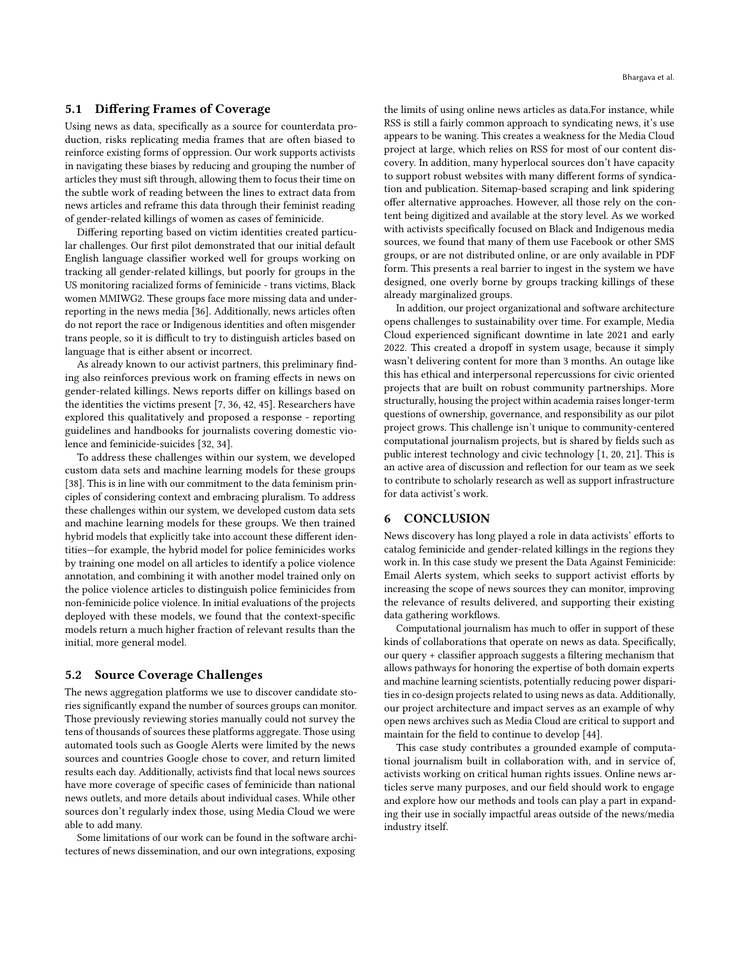#### 5.1 Differing Frames of Coverage

Using news as data, specifically as a source for counterdata production, risks replicating media frames that are often biased to reinforce existing forms of oppression. Our work supports activists in navigating these biases by reducing and grouping the number of articles they must sift through, allowing them to focus their time on the subtle work of reading between the lines to extract data from news articles and reframe this data through their feminist reading of gender-related killings of women as cases of feminicide.

Differing reporting based on victim identities created particular challenges. Our first pilot demonstrated that our initial default English language classifier worked well for groups working on tracking all gender-related killings, but poorly for groups in the US monitoring racialized forms of feminicide - trans victims, Black women MMIWG2. These groups face more missing data and underreporting in the news media [\[36\]](#page-4-25). Additionally, news articles often do not report the race or Indigenous identities and often misgender trans people, so it is difficult to try to distinguish articles based on language that is either absent or incorrect.

As already known to our activist partners, this preliminary finding also reinforces previous work on framing effects in news on gender-related killings. News reports differ on killings based on the identities the victims present [\[7,](#page-4-16) [36,](#page-4-25) [42,](#page-4-17) [45\]](#page-4-39). Researchers have explored this qualitatively and proposed a response - reporting guidelines and handbooks for journalists covering domestic violence and feminicide-suicides [\[32,](#page-4-21) [34\]](#page-4-40).

To address these challenges within our system, we developed custom data sets and machine learning models for these groups [\[38\]](#page-4-37). This is in line with our commitment to the data feminism principles of considering context and embracing pluralism. To address these challenges within our system, we developed custom data sets and machine learning models for these groups. We then trained hybrid models that explicitly take into account these different identities—for example, the hybrid model for police feminicides works by training one model on all articles to identify a police violence annotation, and combining it with another model trained only on the police violence articles to distinguish police feminicides from non-feminicide police violence. In initial evaluations of the projects deployed with these models, we found that the context-specific models return a much higher fraction of relevant results than the initial, more general model.

#### 5.2 Source Coverage Challenges

The news aggregation platforms we use to discover candidate stories significantly expand the number of sources groups can monitor. Those previously reviewing stories manually could not survey the tens of thousands of sources these platforms aggregate. Those using automated tools such as Google Alerts were limited by the news sources and countries Google chose to cover, and return limited results each day. Additionally, activists find that local news sources have more coverage of specific cases of feminicide than national news outlets, and more details about individual cases. While other sources don't regularly index those, using Media Cloud we were able to add many.

Some limitations of our work can be found in the software architectures of news dissemination, and our own integrations, exposing

the limits of using online news articles as data.For instance, while RSS is still a fairly common approach to syndicating news, it's use appears to be waning. This creates a weakness for the Media Cloud project at large, which relies on RSS for most of our content discovery. In addition, many hyperlocal sources don't have capacity to support robust websites with many different forms of syndication and publication. Sitemap-based scraping and link spidering offer alternative approaches. However, all those rely on the content being digitized and available at the story level. As we worked with activists specifically focused on Black and Indigenous media sources, we found that many of them use Facebook or other SMS groups, or are not distributed online, or are only available in PDF form. This presents a real barrier to ingest in the system we have designed, one overly borne by groups tracking killings of these already marginalized groups.

In addition, our project organizational and software architecture opens challenges to sustainability over time. For example, Media Cloud experienced significant downtime in late 2021 and early 2022. This created a dropoff in system usage, because it simply wasn't delivering content for more than 3 months. An outage like this has ethical and interpersonal repercussions for civic oriented projects that are built on robust community partnerships. More structurally, housing the project within academia raises longer-term questions of ownership, governance, and responsibility as our pilot project grows. This challenge isn't unique to community-centered computational journalism projects, but is shared by fields such as public interest technology and civic technology [\[1,](#page-4-41) [20,](#page-4-42) [21\]](#page-4-43). This is an active area of discussion and reflection for our team as we seek to contribute to scholarly research as well as support infrastructure for data activist's work.

# 6 CONCLUSION

News discovery has long played a role in data activists' efforts to catalog feminicide and gender-related killings in the regions they work in. In this case study we present the Data Against Feminicide: Email Alerts system, which seeks to support activist efforts by increasing the scope of news sources they can monitor, improving the relevance of results delivered, and supporting their existing data gathering workflows.

Computational journalism has much to offer in support of these kinds of collaborations that operate on news as data. Specifically, our query + classifier approach suggests a filtering mechanism that allows pathways for honoring the expertise of both domain experts and machine learning scientists, potentially reducing power disparities in co-design projects related to using news as data. Additionally, our project architecture and impact serves as an example of why open news archives such as Media Cloud are critical to support and maintain for the field to continue to develop [\[44\]](#page-4-44).

This case study contributes a grounded example of computational journalism built in collaboration with, and in service of, activists working on critical human rights issues. Online news articles serve many purposes, and our field should work to engage and explore how our methods and tools can play a part in expanding their use in socially impactful areas outside of the news/media industry itself.